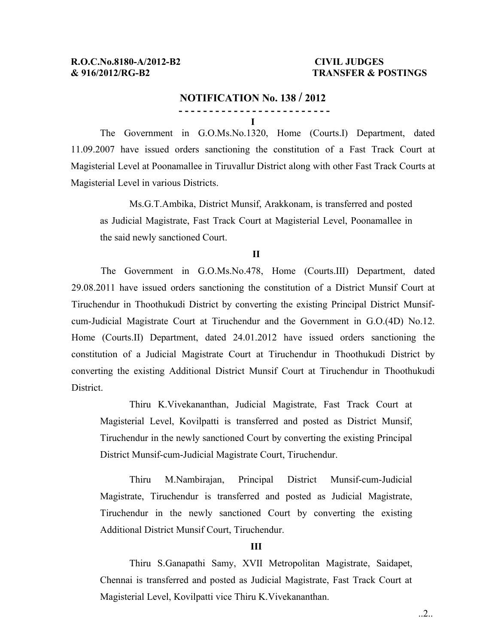## **& 916/2012/RG-B2 TRANSFER & POSTINGS**

#### **NOTIFICATION No. 138 / 2012**

The Government in G.O.Ms.No.1320, Home (Courts.I) Department, dated 11.09.2007 have issued orders sanctioning the constitution of a Fast Track Court at Magisterial Level at Poonamallee in Tiruvallur District along with other Fast Track Courts at Magisterial Level in various Districts.

Ms.G.T.Ambika, District Munsif, Arakkonam, is transferred and posted as Judicial Magistrate, Fast Track Court at Magisterial Level, Poonamallee in the said newly sanctioned Court.

#### **II**

The Government in G.O.Ms.No.478, Home (Courts.III) Department, dated 29.08.2011 have issued orders sanctioning the constitution of a District Munsif Court at Tiruchendur in Thoothukudi District by converting the existing Principal District Munsifcum-Judicial Magistrate Court at Tiruchendur and the Government in G.O.(4D) No.12. Home (Courts.II) Department, dated 24.01.2012 have issued orders sanctioning the constitution of a Judicial Magistrate Court at Tiruchendur in Thoothukudi District by converting the existing Additional District Munsif Court at Tiruchendur in Thoothukudi District.

Thiru K.Vivekananthan, Judicial Magistrate, Fast Track Court at Magisterial Level, Kovilpatti is transferred and posted as District Munsif, Tiruchendur in the newly sanctioned Court by converting the existing Principal District Munsif-cum-Judicial Magistrate Court, Tiruchendur.

Thiru M.Nambirajan, Principal District Munsif-cum-Judicial Magistrate, Tiruchendur is transferred and posted as Judicial Magistrate, Tiruchendur in the newly sanctioned Court by converting the existing Additional District Munsif Court, Tiruchendur.

#### **III**

Thiru S.Ganapathi Samy, XVII Metropolitan Magistrate, Saidapet, Chennai is transferred and posted as Judicial Magistrate, Fast Track Court at Magisterial Level, Kovilpatti vice Thiru K.Vivekananthan.

 **<sup>- - -</sup> - - - - - - - - - - - - - - - - - - - - - - I**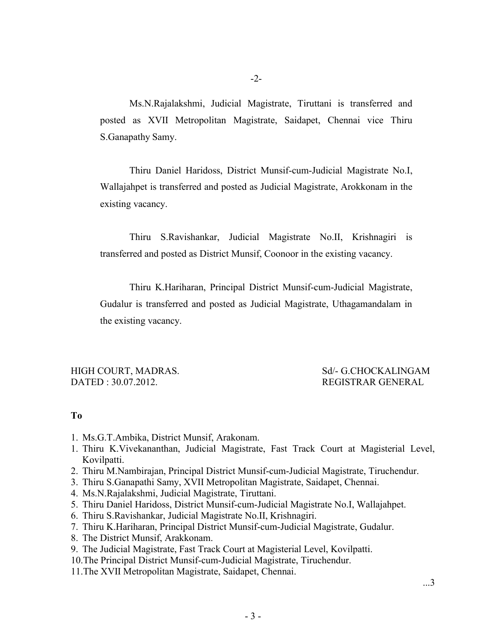Ms.N.Rajalakshmi, Judicial Magistrate, Tiruttani is transferred and posted as XVII Metropolitan Magistrate, Saidapet, Chennai vice Thiru S.Ganapathy Samy.

Thiru Daniel Haridoss, District Munsif-cum-Judicial Magistrate No.I, Wallajahpet is transferred and posted as Judicial Magistrate, Arokkonam in the existing vacancy.

Thiru S.Ravishankar, Judicial Magistrate No.II, Krishnagiri is transferred and posted as District Munsif, Coonoor in the existing vacancy.

Thiru K.Hariharan, Principal District Munsif-cum-Judicial Magistrate, Gudalur is transferred and posted as Judicial Magistrate, Uthagamandalam in the existing vacancy.

DATED : 30.07.2012. REGISTRAR GENERAL

# HIGH COURT, MADRAS. Sd/- G.CHOCKALINGAM

## **To**

- 1. Ms.G.T.Ambika, District Munsif, Arakonam.
- 1. Thiru K.Vivekananthan, Judicial Magistrate, Fast Track Court at Magisterial Level, Kovilpatti.
- 2. Thiru M.Nambirajan, Principal District Munsif-cum-Judicial Magistrate, Tiruchendur.
- 3. Thiru S.Ganapathi Samy, XVII Metropolitan Magistrate, Saidapet, Chennai.
- 4. Ms.N.Rajalakshmi, Judicial Magistrate, Tiruttani.
- 5. Thiru Daniel Haridoss, District Munsif-cum-Judicial Magistrate No.I, Wallajahpet.
- 6. Thiru S.Ravishankar, Judicial Magistrate No.II, Krishnagiri.
- 7. Thiru K.Hariharan, Principal District Munsif-cum-Judicial Magistrate, Gudalur.
- 8. The District Munsif, Arakkonam.
- 9. The Judicial Magistrate, Fast Track Court at Magisterial Level, Kovilpatti.
- 10.The Principal District Munsif-cum-Judicial Magistrate, Tiruchendur.
- 11.The XVII Metropolitan Magistrate, Saidapet, Chennai.